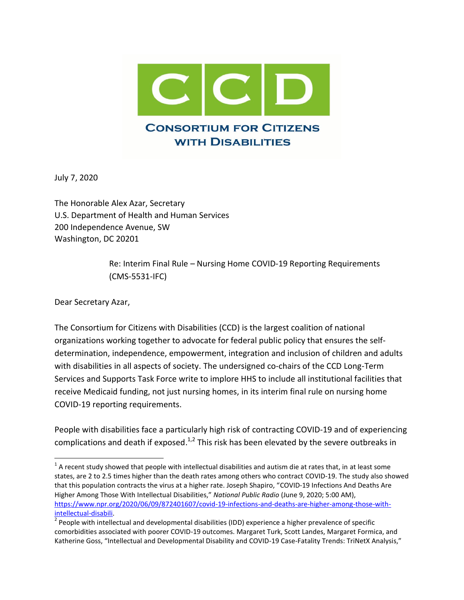

July 7, 2020

The Honorable Alex Azar, Secretary U.S. Department of Health and Human Services 200 Independence Avenue, SW Washington, DC 20201

> Re: Interim Final Rule – Nursing Home COVID-19 Reporting Requirements (CMS-5531-IFC)

Dear Secretary Azar,

 $\overline{\phantom{a}}$ 

The Consortium for Citizens with Disabilities (CCD) is the largest coalition of national organizations working together to advocate for federal public policy that ensures the selfdetermination, independence, empowerment, integration and inclusion of children and adults with disabilities in all aspects of society. The undersigned co-chairs of the CCD Long-Term Services and Supports Task Force write to implore HHS to include all institutional facilities that receive Medicaid funding, not just nursing homes, in its interim final rule on nursing home COVID-19 reporting requirements.

People with disabilities face a particularly high risk of contracting COVID-19 and of experiencing complications and death if exposed.<sup>1,2</sup> This risk has been elevated by the severe outbreaks in

 $1$  A recent study showed that people with intellectual disabilities and autism die at rates that, in at least some states, are 2 to 2.5 times higher than the death rates among others who contract COVID-19. The study also showed that this population contracts the virus at a higher rate. Joseph Shapiro, "COVID-19 Infections And Deaths Are Higher Among Those With Intellectual Disabilities," *National Public Radio* (June 9, 2020; 5:00 AM), [https://www.npr.org/2020/06/09/872401607/covid-19-infections-and-deaths-are-higher-among-those-with](https://www.npr.org/2020/06/09/872401607/covid-19-infections-and-deaths-are-higher-among-those-with-intellectual-disabili)[intellectual-disabili.](https://www.npr.org/2020/06/09/872401607/covid-19-infections-and-deaths-are-higher-among-those-with-intellectual-disabili)

 $^{2}$  People with intellectual and developmental disabilities (IDD) experience a higher prevalence of specific comorbidities associated with poorer COVID-19 outcomes. Margaret Turk, Scott Landes, Margaret Formica, and Katherine Goss, "Intellectual and Developmental Disability and COVID-19 Case-Fatality Trends: TriNetX Analysis,"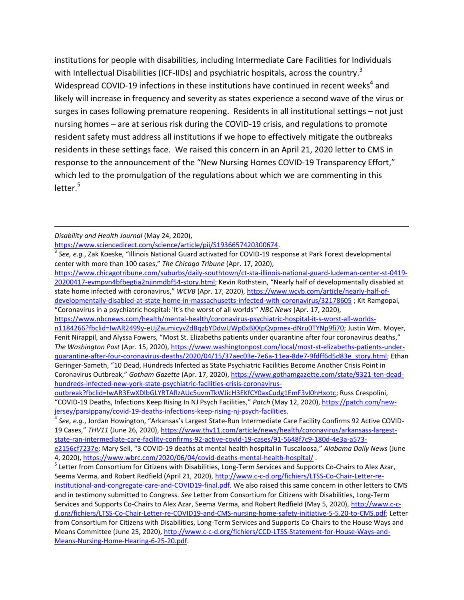institutions for people with disabilities, including Intermediate Care Facilities for Individuals with Intellectual Disabilities (ICF-IIDs) and psychiatric hospitals, across the country.<sup>3</sup> Widespread COVID-19 infections in these institutions have continued in recent weeks<sup>4</sup> and likely will increase in frequency and severity as states experience a second wave of the virus or surges in cases following premature reopening. Residents in all institutional settings – not just nursing homes – are at serious risk during the COVID-19 crisis, and regulations to promote resident safety must address all institutions if we hope to effectively mitigate the outbreaks residents in these settings face. We raised this concern in an April 21, 2020 letter to CMS in response to the announcement of the "New Nursing Homes COVID-19 Transparency Effort," which led to the promulgation of the regulations about which we are commenting in this  $letter.<sup>5</sup>$ 

l

[https://www.sciencedirect.com/science/article/pii/S1936657420300674.](https://www.sciencedirect.com/science/article/pii/S1936657420300674)

[https://www.chicagotribune.com/suburbs/daily-southtown/ct-sta-illinois-national-guard-ludeman-center-st-0419-](https://www.chicagotribune.com/suburbs/daily-southtown/ct-sta-illinois-national-guard-ludeman-center-st-0419-20200417-evmpvn4bfbegtia2njinmdbf54-story.html) [20200417-evmpvn4bfbegtia2njinmdbf54-story.html](https://www.chicagotribune.com/suburbs/daily-southtown/ct-sta-illinois-national-guard-ludeman-center-st-0419-20200417-evmpvn4bfbegtia2njinmdbf54-story.html); Kevin Rothstein, "Nearly half of developmentally disabled at state home infected with coronavirus," *WCVB* (Apr. 17, 2020), [https://www.wcvb.com/article/nearly-half-of](https://www.wcvb.com/article/nearly-half-of-developmentally-disabled-at-state-home-in-massachusetts-infected-with-coronavirus/32178605)[developmentally-disabled-at-state-home-in-massachusetts-infected-with-coronavirus/32178605](https://www.wcvb.com/article/nearly-half-of-developmentally-disabled-at-state-home-in-massachusetts-infected-with-coronavirus/32178605) ; Kit Ramgopal,

"Coronavirus in a psychiatric hospital: 'It's the worst of all worlds'" *NBC News* (Apr. 17, 2020),

[https://www.nbcnews.com/health/mental-health/coronavirus-psychiatric-hospital-it-s-worst-all-worlds](https://www.nbcnews.com/health/mental-health/coronavirus-psychiatric-hospital-it-s-worst-all-worlds-n1184266?fbclid=IwAR2499y-eUjZaumicyvZdBqzbYDdwUWp0xBXXpQvpmex-dNru0TYNp9fi70)[n1184266?fbclid=IwAR2499y-eUjZaumicyvZdBqzbYDdwUWp0xBXXpQvpmex-dNru0TYNp9fi70;](https://www.nbcnews.com/health/mental-health/coronavirus-psychiatric-hospital-it-s-worst-all-worlds-n1184266?fbclid=IwAR2499y-eUjZaumicyvZdBqzbYDdwUWp0xBXXpQvpmex-dNru0TYNp9fi70) Justin Wm. Moyer, Fenit Nirappil, and Alyssa Fowers, "Most St. Elizabeths patients under quarantine after four coronavirus deaths," *The Washington Post* (Apr. 15, 2020), [https://www.washingtonpost.com/local/most-st-elizabeths-patients-under](https://www.washingtonpost.com/local/most-st-elizabeths-patients-under-quarantine-after-four-coronavirus-deaths/2020/04/15/37aec03e-7e6a-11ea-8de7-9fdff6d5d83e_story.html)[quarantine-after-four-coronavirus-deaths/2020/04/15/37aec03e-7e6a-11ea-8de7-9fdff6d5d83e\\_story.html;](https://www.washingtonpost.com/local/most-st-elizabeths-patients-under-quarantine-after-four-coronavirus-deaths/2020/04/15/37aec03e-7e6a-11ea-8de7-9fdff6d5d83e_story.html) Ethan Geringer-Sameth, "10 Dead, Hundreds Infected as State Psychiatric Facilities Become Another Crisis Point in Coronavirus Outbreak," *Gotham Gazette* (Apr. 17, 2020), [https://www.gothamgazette.com/state/9321-ten-dead](https://www.gothamgazette.com/state/9321-ten-dead-hundreds-infected-new-york-state-psychiatric-facilities-crisis-coronavirus-outbreak?fbclid=IwAR3EwXDlbGLYRTAflzAUc5uvmTkWJicH3EKfCY0axCudg1EmF3vI0hHxotc)[hundreds-infected-new-york-state-psychiatric-facilities-crisis-coronavirus-](https://www.gothamgazette.com/state/9321-ten-dead-hundreds-infected-new-york-state-psychiatric-facilities-crisis-coronavirus-outbreak?fbclid=IwAR3EwXDlbGLYRTAflzAUc5uvmTkWJicH3EKfCY0axCudg1EmF3vI0hHxotc)

*See, e.g.*, Jordan Howington, "Arkansas's Largest State-Run Intermediate Care Facility Confirms 92 Active COVID-19 Cases," *THV11* (June 26, 2020), [https://www.thv11.com/article/news/health/coronavirus/arkansass-largest](https://www.thv11.com/article/news/health/coronavirus/arkansass-largest-state-ran-intermediate-care-facility-confirms-92-active-covid-19-cases/91-5648f7c9-180d-4e3a-a573-e2156cf7237e)[state-ran-intermediate-care-facility-confirms-92-active-covid-19-cases/91-5648f7c9-180d-4e3a-a573-](https://www.thv11.com/article/news/health/coronavirus/arkansass-largest-state-ran-intermediate-care-facility-confirms-92-active-covid-19-cases/91-5648f7c9-180d-4e3a-a573-e2156cf7237e)

*Disability and Health Journal* (May 24, 2020),

<sup>3</sup> *See, e.g.*, Zak Koeske, "Illinois National Guard activated for COVID-19 response at Park Forest developmental center with more than 100 cases," *The Chicago Tribune* (Apr. 17, 2020),

[outbreak?fbclid=IwAR3EwXDlbGLYRTAflzAUc5uvmTkWJicH3EKfCY0axCudg1EmF3vI0hHxotc;](https://www.gothamgazette.com/state/9321-ten-dead-hundreds-infected-new-york-state-psychiatric-facilities-crisis-coronavirus-outbreak?fbclid=IwAR3EwXDlbGLYRTAflzAUc5uvmTkWJicH3EKfCY0axCudg1EmF3vI0hHxotc) Russ Crespolini, "COVID-19 Deaths, Infections Keep Rising In NJ Psych Facilities," *Patch* (May 12, 2020), [https://patch.com/new](https://patch.com/new-jersey/parsippany/covid-19-deaths-infections-keep-rising-nj-psych-facilities)[jersey/parsippany/covid-19-deaths-infections-keep-rising-nj-psych-facilities.](https://patch.com/new-jersey/parsippany/covid-19-deaths-infections-keep-rising-nj-psych-facilities) 4

[e2156cf7237e;](https://www.thv11.com/article/news/health/coronavirus/arkansass-largest-state-ran-intermediate-care-facility-confirms-92-active-covid-19-cases/91-5648f7c9-180d-4e3a-a573-e2156cf7237e) Mary Sell, "3 COVID-19 deaths at mental health hospital in Tuscaloosa," *Alabama Daily News* (June 4, 2020),<https://www.wbrc.com/2020/06/04/covid-deaths-mental-health-hospital/> .

<sup>&</sup>lt;sup>5</sup> Letter from Consortium for Citizens with Disabilities, Long-Term Services and Supports Co-Chairs to Alex Azar, Seema Verma, and Robert Redfield (April 21, 2020), [http://www.c-c-d.org/fichiers/LTSS-Co-Chair-Letter-re](http://www.c-c-d.org/fichiers/LTSS-Co-Chair-Letter-re-institutional-and-congregate-care-and-COVID19-final.pdf)[institutional-and-congregate-care-and-COVID19-final.pdf.](http://www.c-c-d.org/fichiers/LTSS-Co-Chair-Letter-re-institutional-and-congregate-care-and-COVID19-final.pdf) We also raised this same concern in other letters to CMS and in testimony submitted to Congress. *See* Letter from Consortium for Citizens with Disabilities, Long-Term Services and Supports Co-Chairs to Alex Azar, Seema Verma, and Robert Redfield (May 5, 2020), [http://www.c-c](http://www.c-c-d.org/fichiers/LTSS-Co-Chair-Letter-re-COVID19-and-CMS-nursing-home-safety-initiative-5-5.20-to-CMS.pdf)[d.org/fichiers/LTSS-Co-Chair-Letter-re-COVID19-and-CMS-nursing-home-safety-initiative-5-5.20-to-CMS.pdf;](http://www.c-c-d.org/fichiers/LTSS-Co-Chair-Letter-re-COVID19-and-CMS-nursing-home-safety-initiative-5-5.20-to-CMS.pdf) Letter from Consortium for Citizens with Disabilities, Long-Term Services and Supports Co-Chairs to the House Ways and Means Committee (June 25, 2020)[, http://www.c-c-d.org/fichiers/CCD-LTSS-Statement-for-House-Ways-and-](http://www.c-c-d.org/fichiers/CCD-LTSS-Statement-for-House-Ways-and-Means-Nursing-Home-Hearing-6-25-20.pdf)[Means-Nursing-Home-Hearing-6-25-20.pdf.](http://www.c-c-d.org/fichiers/CCD-LTSS-Statement-for-House-Ways-and-Means-Nursing-Home-Hearing-6-25-20.pdf)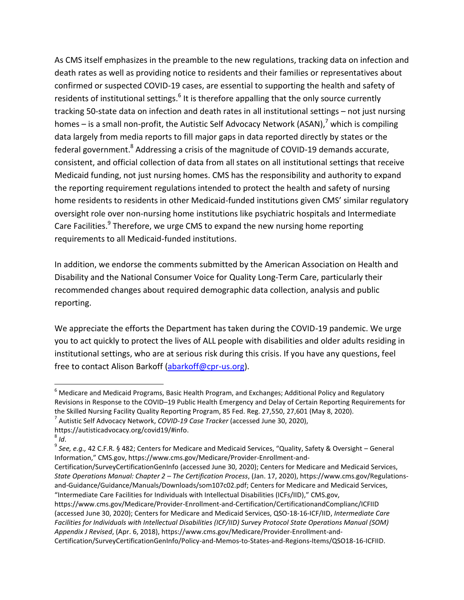As CMS itself emphasizes in the preamble to the new regulations, tracking data on infection and death rates as well as providing notice to residents and their families or representatives about confirmed or suspected COVID-19 cases, are essential to supporting the health and safety of residents of institutional settings.<sup>6</sup> It is therefore appalling that the only source currently tracking 50-state data on infection and death rates in all institutional settings – not just nursing homes – is a small non-profit, the Autistic Self Advocacy Network (ASAN),<sup>7</sup> which is compiling data largely from media reports to fill major gaps in data reported directly by states or the federal government.<sup>8</sup> Addressing a crisis of the magnitude of COVID-19 demands accurate, consistent, and official collection of data from all states on all institutional settings that receive Medicaid funding, not just nursing homes. CMS has the responsibility and authority to expand the reporting requirement regulations intended to protect the health and safety of nursing home residents to residents in other Medicaid-funded institutions given CMS' similar regulatory oversight role over non-nursing home institutions like psychiatric hospitals and Intermediate Care Facilities.<sup>9</sup> Therefore, we urge CMS to expand the new nursing home reporting requirements to all Medicaid-funded institutions.

In addition, we endorse the comments submitted by the American Association on Health and Disability and the National Consumer Voice for Quality Long-Term Care, particularly their recommended changes about required demographic data collection, analysis and public reporting.

We appreciate the efforts the Department has taken during the COVID-19 pandemic. We urge you to act quickly to protect the lives of ALL people with disabilities and older adults residing in institutional settings, who are at serious risk during this crisis. If you have any questions, feel free to contact Alison Barkoff [\(abarkoff@cpr-us.org\)](mailto:abarkoff@cpr-us.org).

 $\overline{\phantom{a}}$ 

<sup>&</sup>lt;sup>6</sup> Medicare and Medicaid Programs, Basic Health Program, and Exchanges; Additional Policy and Regulatory Revisions in Response to the COVID–19 Public Health Emergency and Delay of Certain Reporting Requirements for the Skilled Nursing Facility Quality Reporting Program, 85 Fed. Reg. 27,550, 27,601 (May 8, 2020).

<sup>7</sup> Autistic Self Advocacy Network, *COVID-19 Case Tracker* (accessed June 30, 2020),

https://autisticadvocacy.org/covid19/#info.

<sup>8</sup> *Id*.

<sup>9</sup> *See, e.g.,* 42 C.F.R. § 482; Centers for Medicare and Medicaid Services, "Quality, Safety & Oversight – General Information," CMS.gov, https://www.cms.gov/Medicare/Provider-Enrollment-and-

Certification/SurveyCertificationGenInfo (accessed June 30, 2020); Centers for Medicare and Medicaid Services, *State Operations Manual: Chapter 2 – The Certification Process*, (Jan. 17, 2020), https://www.cms.gov/Regulationsand-Guidance/Guidance/Manuals/Downloads/som107c02.pdf; Centers for Medicare and Medicaid Services, "Intermediate Care Facilities for Individuals with Intellectual Disabilities (ICFs/IID)," CMS.gov,

https://www.cms.gov/Medicare/Provider-Enrollment-and-Certification/CertificationandComplianc/ICFIID (accessed June 30, 2020); Centers for Medicare and Medicaid Services, QSO-18-16-ICF/IID, *Intermediate Care Facilities for Individuals with Intellectual Disabilities (ICF/IID) Survey Protocol State Operations Manual (SOM) Appendix J Revised*, (Apr. 6, 2018), https://www.cms.gov/Medicare/Provider-Enrollment-and-

Certification/SurveyCertificationGenInfo/Policy-and-Memos-to-States-and-Regions-Items/QSO18-16-ICFIID.